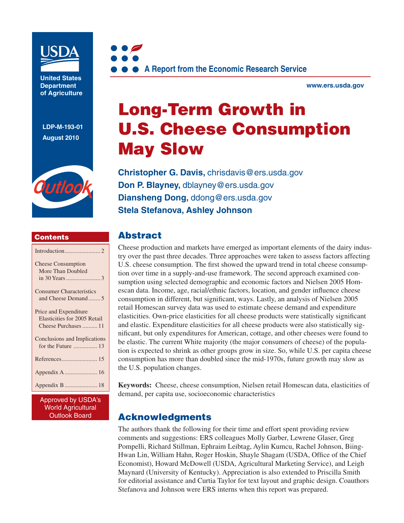

**United States Department of Agriculture** 

**LDP-M-193-01 August 2010**



#### **Contents**

| <b>Cheese Consumption</b><br>More Than Doubled                                |
|-------------------------------------------------------------------------------|
| <b>Consumer Characteristics</b><br>and Cheese Demand5                         |
| Price and Expenditure<br>Elasticities for 2005 Retail<br>Cheese Purchases  11 |
| Conclusions and Implications<br>for the Future  13                            |
|                                                                               |
| Appendix A  16                                                                |
|                                                                               |
|                                                                               |

Approved by USDA's World Agricultural Outlook Board



**www.ers.usda.gov** 

# **Long-Term Growth in U.S. Cheese Consumption May Slow**

**Christopher G. Davis,** chrisdavis@ers.usda.gov **Don P. Blayney,** dblayney@ers.usda.gov **Diansheng Dong,** ddong@ers.usda.gov **Stela Stefanova, Ashley Johnson**

### **Abstract**

Cheese production and markets have emerged as important elements of the dairy industry over the past three decades. Three approaches were taken to assess factors affecting U.S. cheese consumption. The first showed the upward trend in total cheese consumption over time in a supply-and-use framework. The second approach examined consumption using selected demographic and economic factors and Nielsen 2005 Homescan data. Income, age, racial/ethnic factors, location, and gender influence cheese consumption in different, but significant, ways. Lastly, an analysis of Nielsen 2005 retail Homescan survey data was used to estimate cheese demand and expenditure elasticities. Own-price elasticities for all cheese products were statistically significant and elastic. Expenditure elasticities for all cheese products were also statistically significant, but only expenditures for American, cottage, and other cheeses were found to be elastic. The current White majority (the major consumers of cheese) of the population is expected to shrink as other groups grow in size. So, while U.S. per capita cheese consumption has more than doubled since the mid-1970s, future growth may slow as the U.S. population changes.

**Keywords:** Cheese, cheese consumption, Nielsen retail Homescan data, elasticities of demand, per capita use, socioeconomic characteristics

### **Acknowledgments**

The authors thank the following for their time and effort spent providing review comments and suggestions: ERS colleagues Molly Garber, Lewrene Glaser, Greg Pompelli, Richard Stillman, Ephraim Leibtag, Aylin Kumcu, Rachel Johnson, Biing-Hwan Lin, William Hahn, Roger Hoskin, Shayle Shagam (USDA, Office of the Chief Economist), Howard McDowell (USDA, Agricultural Marketing Service), and Leigh Maynard (University of Kentucky). Appreciation is also extended to Priscilla Smith for editorial assistance and Curtia Taylor for text layout and graphic design. Coauthors Stefanova and Johnson were ERS interns when this report was prepared.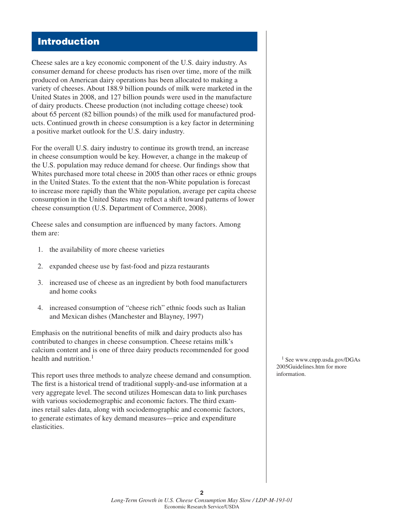### **Introduction**

Cheese sales are a key economic component of the U.S. dairy industry. As consumer demand for cheese products has risen over time, more of the milk produced on American dairy operations has been allocated to making a variety of cheeses. About 188.9 billion pounds of milk were marketed in the United States in 2008, and 127 billion pounds were used in the manufacture of dairy products. Cheese production (not including cottage cheese) took about 65 percent (82 billion pounds) of the milk used for manufactured products. Continued growth in cheese consumption is a key factor in determining a positive market outlook for the U.S. dairy industry.

For the overall U.S. dairy industry to continue its growth trend, an increase in cheese consumption would be key. However, a change in the makeup of the U.S. population may reduce demand for cheese. Our findings show that Whites purchased more total cheese in 2005 than other races or ethnic groups in the United States. To the extent that the non-White population is forecast to increase more rapidly than the White population, average per capita cheese consumption in the United States may reflect a shift toward patterns of lower cheese consumption (U.S. Department of Commerce, 2008).

Cheese sales and consumption are influenced by many factors. Among them are:

- 1. the availability of more cheese varieties
- 2. expanded cheese use by fast-food and pizza restaurants
- 3. increased use of cheese as an ingredient by both food manufacturers and home cooks
- 4. increased consumption of "cheese rich" ethnic foods such as Italian and Mexican dishes (Manchester and Blayney, 1997)

Emphasis on the nutritional benefits of milk and dairy products also has contributed to changes in cheese consumption. Cheese retains milk's calcium content and is one of three dairy products recommended for good health and nutrition. $<sup>1</sup>$ </sup>

This report uses three methods to analyze cheese demand and consumption. The first is a historical trend of traditional supply-and-use information at a very aggregate level. The second utilizes Homescan data to link purchases with various sociodemographic and economic factors. The third examines retail sales data, along with sociodemographic and economic factors, to generate estimates of key demand measures—price and expenditure elasticities.

1 See www.cnpp.usda.gov/DGAs 2005Guidelines.htm for more information.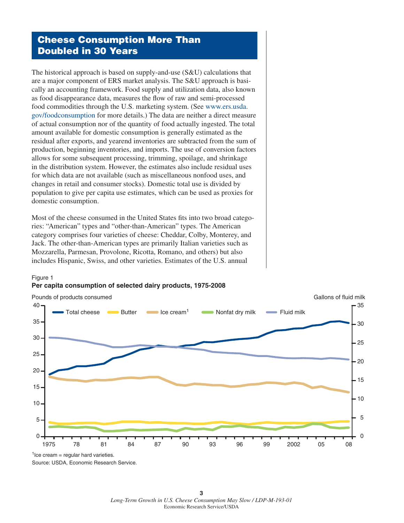### **Cheese Consumption More Than Doubled in 30 Years**

The historical approach is based on supply-and-use (S&U) calculations that are a major component of ERS market analysis. The S&U approach is basically an accounting framework. Food supply and utilization data, also known as food disappearance data, measures the flow of raw and semi-processed food commodities through the U.S. marketing system. (See www.ers.usda. gov/foodconsumption for more details.) The data are neither a direct measure of actual consumption nor of the quantity of food actually ingested. The total amount available for domestic consumption is generally estimated as the residual after exports, and yearend inventories are subtracted from the sum of production, beginning inventories, and imports. The use of conversion factors allows for some subsequent processing, trimming, spoilage, and shrinkage in the distribution system. However, the estimates also include residual uses for which data are not available (such as miscellaneous nonfood uses, and changes in retail and consumer stocks). Domestic total use is divided by population to give per capita use estimates, which can be used as proxies for domestic consumption.

Most of the cheese consumed in the United States fits into two broad categories: "American" types and "other-than-American" types. The American category comprises four varieties of cheese: Cheddar, Colby, Monterey, and Jack. The other-than-American types are primarily Italian varieties such as Mozzarella, Parmesan, Provolone, Ricotta, Romano, and others) but also includes Hispanic, Swiss, and other varieties. Estimates of the U.S. annual

**Per capita consumption of selected dairy products, 1975-2008**



 $1$ Ice cream = regular hard varieties. Source: USDA, Economic Research Service.

Figure 1

**3** *Long-Term Growth in U.S. Cheese Consumption May Slow / LDP-M-193-01* Economic Research Service/USDA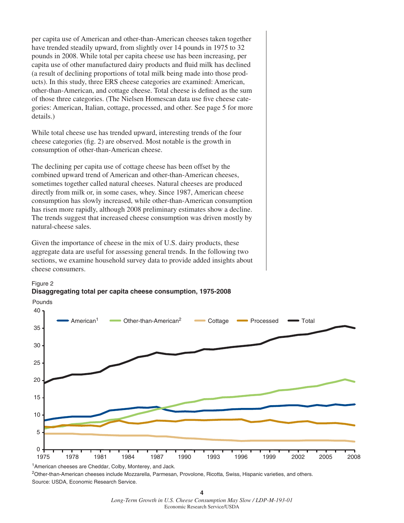per capita use of American and other-than-American cheeses taken together have trended steadily upward, from slightly over 14 pounds in 1975 to 32 pounds in 2008. While total per capita cheese use has been increasing, per capita use of other manufactured dairy products and fluid milk has declined (a result of declining proportions of total milk being made into those products). In this study, three ERS cheese categories are examined: American, other-than-American, and cottage cheese. Total cheese is defined as the sum of those three categories. (The Nielsen Homescan data use five cheese categories: American, Italian, cottage, processed, and other. See page 5 for more details.)

While total cheese use has trended upward, interesting trends of the four cheese categories (fig. 2) are observed. Most notable is the growth in consumption of other-than-American cheese.

The declining per capita use of cottage cheese has been offset by the combined upward trend of American and other-than-American cheeses, sometimes together called natural cheeses. Natural cheeses are produced directly from milk or, in some cases, whey. Since 1987, American cheese consumption has slowly increased, while other-than-American consumption has risen more rapidly, although 2008 preliminary estimates show a decline. The trends suggest that increased cheese consumption was driven mostly by natural-cheese sales.

Given the importance of cheese in the mix of U.S. dairy products, these aggregate data are useful for assessing general trends. In the following two sections, we examine household survey data to provide added insights about cheese consumers.



#### Figure 2 **Disaggregating total per capita cheese consumption, 1975-2008**

<sup>1</sup> American cheeses are Cheddar, Colby, Monterey, and Jack. <sup>2</sup>Other-than-American cheeses include Mozzarella, Parmesan, Provolone, Ricotta, Swiss, Hispanic varieties, and others. Source: USDA, Economic Research Service.

**4** *Long-Term Growth in U.S. Cheese Consumption May Slow / LDP-M-193-01* Economic Research Service/USDA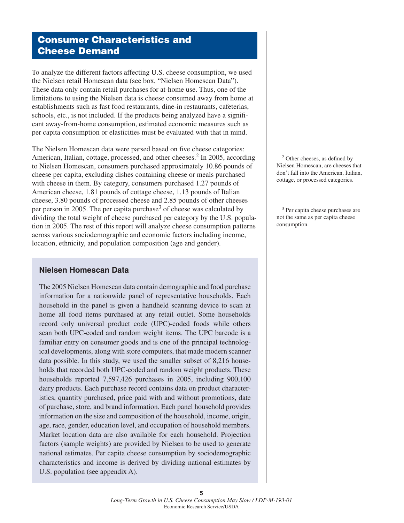### **Consumer Characteristics and Cheese Demand**

To analyze the different factors affecting U.S. cheese consumption, we used the Nielsen retail Homescan data (see box, "Nielsen Homescan Data"). These data only contain retail purchases for at-home use. Thus, one of the limitations to using the Nielsen data is cheese consumed away from home at establishments such as fast food restaurants, dine-in restaurants, cafeterias, schools, etc., is not included. If the products being analyzed have a significant away-from-home consumption, estimated economic measures such as per capita consumption or elasticities must be evaluated with that in mind.

The Nielsen Homescan data were parsed based on five cheese categories: American, Italian, cottage, processed, and other cheeses.<sup>2</sup> In 2005, according to Nielsen Homescan, consumers purchased approximately 10.86 pounds of cheese per capita, excluding dishes containing cheese or meals purchased with cheese in them. By category, consumers purchased 1.27 pounds of American cheese, 1.81 pounds of cottage cheese, 1.13 pounds of Italian cheese, 3.80 pounds of processed cheese and 2.85 pounds of other cheeses per person in 2005. The per capita purchase<sup>3</sup> of cheese was calculated by dividing the total weight of cheese purchased per category by the U.S. population in 2005. The rest of this report will analyze cheese consumption patterns across various sociodemographic and economic factors including income, location, ethnicity, and population composition (age and gender).

#### **Nielsen Homescan Data**

The 2005 Nielsen Homescan data contain demographic and food purchase information for a nationwide panel of representative households. Each household in the panel is given a handheld scanning device to scan at home all food items purchased at any retail outlet. Some households record only universal product code (UPC)-coded foods while others scan both UPC-coded and random weight items. The UPC barcode is a familiar entry on consumer goods and is one of the principal technological developments, along with store computers, that made modern scanner data possible. In this study, we used the smaller subset of 8,216 households that recorded both UPC-coded and random weight products. These households reported 7,597,426 purchases in 2005, including 900,100 dairy products. Each purchase record contains data on product characteristics, quantity purchased, price paid with and without promotions, date of purchase, store, and brand information. Each panel household provides information on the size and composition of the household, income, origin, age, race, gender, education level, and occupation of household members. Market location data are also available for each household. Projection factors (sample weights) are provided by Nielsen to be used to generate national estimates. Per capita cheese consumption by sociodemographic characteristics and income is derived by dividing national estimates by U.S. population (see appendix A).

 $2$  Other cheeses, as defined by Nielsen Homescan, are cheeses that don't fall into the American, Italian, cottage, or processed categories.

3 Per capita cheese purchases are not the same as per capita cheese consumption.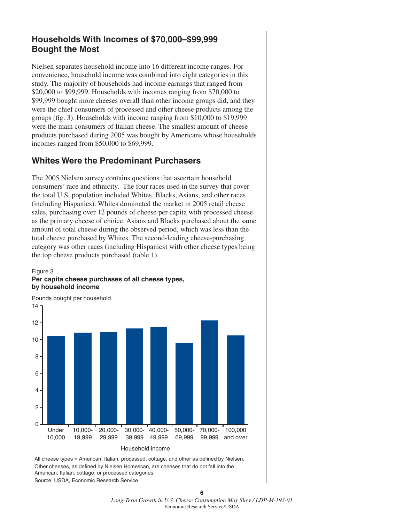### **Households With Incomes of \$70,000–\$99,999 Bought the Most**

Nielsen separates household income into 16 different income ranges. For convenience, household income was combined into eight categories in this study. The majority of households had income earnings that ranged from \$20,000 to \$99,999. Households with incomes ranging from \$70,000 to \$99,999 bought more cheeses overall than other income groups did, and they were the chief consumers of processed and other cheese products among the groups (fig. 3). Households with income ranging from  $$10,000$  to  $$19,999$ were the main consumers of Italian cheese. The smallest amount of cheese products purchased during 2005 was bought by Americans whose households incomes ranged from \$50,000 to \$69,999.

### **Whites Were the Predominant Purchasers**

The 2005 Nielsen survey contains questions that ascertain household consumers' race and ethnicity. The four races used in the survey that cover the total U.S. population included Whites, Blacks, Asians, and other races (including Hispanics). Whites dominated the market in 2005 retail cheese sales, purchasing over 12 pounds of cheese per capita with processed cheese as the primary cheese of choice. Asians and Blacks purchased about the same amount of total cheese during the observed period, which was less than the total cheese purchased by Whites. The second-leading cheese-purchasing category was other races (including Hispanics) with other cheese types being the top cheese products purchased (table 1).







All cheese types = American, Italian, processed, cottage, and other as defined by Nielsen. Other cheeses, as defined by Nielsen Homescan, are cheeses that do not fall into the American, Italian, cottage, or processed categories. Source: USDA, Economic Research Service.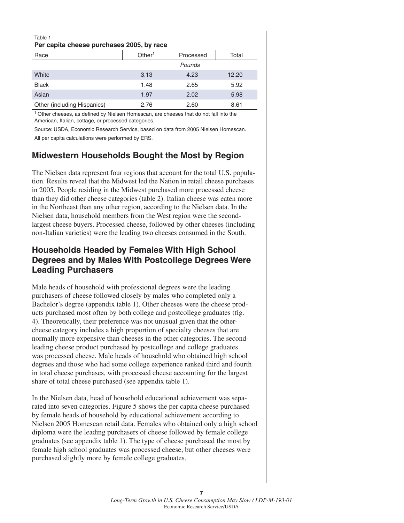#### Table 1 **Per capita cheese purchases 2005, by race**

| Race                        | Other <sup>1</sup> | Processed | Total |
|-----------------------------|--------------------|-----------|-------|
|                             |                    | Pounds    |       |
| White                       | 3.13               | 4.23      | 12.20 |
| <b>Black</b>                | 1.48               | 2.65      | 5.92  |
| Asian                       | 1.97               | 2.02      | 5.98  |
| Other (including Hispanics) | 2.76               | 2.60      | 8.61  |
|                             |                    |           |       |

 $1$  Other cheeses, as defined by Nielsen Homescan, are cheeses that do not fall into the American, Italian, cottage, or processed categories.

Source: USDA, Economic Research Service, based on data from 2005 Nielsen Homescan. All per capita calculations were performed by ERS.

### **Midwestern Households Bought the Most by Region**

The Nielsen data represent four regions that account for the total U.S. population. Results reveal that the Midwest led the Nation in retail cheese purchases in 2005. People residing in the Midwest purchased more processed cheese than they did other cheese categories (table 2). Italian cheese was eaten more in the Northeast than any other region, according to the Nielsen data. In the Nielsen data, household members from the West region were the secondlargest cheese buyers. Processed cheese, followed by other cheeses (including non-Italian varieties) were the leading two cheeses consumed in the South.

### **Households Headed by Females With High School Degrees and by Males With Postcollege Degrees Were Leading Purchasers**

Male heads of household with professional degrees were the leading purchasers of cheese followed closely by males who completed only a Bachelor's degree (appendix table 1). Other cheeses were the cheese products purchased most often by both college and postcollege graduates (fig. 4). Theoretically, their preference was not unusual given that the othercheese category includes a high proportion of specialty cheeses that are normally more expensive than cheeses in the other categories. The secondleading cheese product purchased by postcollege and college graduates was processed cheese. Male heads of household who obtained high school degrees and those who had some college experience ranked third and fourth in total cheese purchases, with processed cheese accounting for the largest share of total cheese purchased (see appendix table 1).

In the Nielsen data, head of household educational achievement was separated into seven categories. Figure 5 shows the per capita cheese purchased by female heads of household by educational achievement according to Nielsen 2005 Homescan retail data. Females who obtained only a high school diploma were the leading purchasers of cheese followed by female college graduates (see appendix table 1). The type of cheese purchased the most by female high school graduates was processed cheese, but other cheeses were purchased slightly more by female college graduates.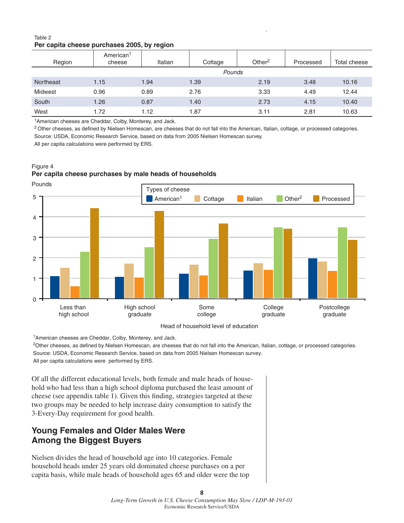#### Table 2 **Per capita cheese purchases 2005, by region**

| Region           | American <sup>1</sup><br>cheese | Italian | Cottage | Other <sup>2</sup> | Processed | Total cheese |
|------------------|---------------------------------|---------|---------|--------------------|-----------|--------------|
|                  |                                 |         | Pounds  |                    |           |              |
| <b>Northeast</b> | 1.15                            | 1.94    | 1.39    | 2.19               | 3.48      | 10.16        |
| Midwest          | 0.96                            | 0.89    | 2.76    | 3.33               | 4.49      | 12.44        |
| South            | 1.26                            | 0.87    | 1.40    | 2.73               | 4.15      | 10.40        |
| West             | 1.72                            | 1.12    | 1.87    | 3.11               | 2.81      | 10.63        |

1American cheeses are Cheddar, Colby, Monterey, and Jack.

<sup>2</sup> Other cheeses, as defined by Nielsen Homescan, are cheeses that do not fall into the American, Italian, cottage, or processed categories. Source: USDA, Economic Research Service, based on data from 2005 Nielsen Homescan survey.

All per capita calculations were performed by ERS.

#### Figure 4 **Per capita cheese purchases by male heads of households**

Pounds  $\Omega$ 1 2 3 4 5 Less than high school High school graduate Some college College graduate Postcollege graduate Types of cheese American<sup>1</sup> Cottage Italian **Other<sup>2</sup>** Processed

1American cheeses are Cheddar, Colby, Monterey, and Jack.

<sup>2</sup>Other cheeses, as defined by Nielsen Homescan, are cheeses that do not fall into the American, Italian, cottage, or processed categories. Source: USDA, Economic Research Service, based on data from 2005 Nielsen Homescan survey. All per capita calculations were performed by ERS.

Of all the different educational levels, both female and male heads of household who had less than a high school diploma purchased the least amount of cheese (see appendix table 1). Given this finding, strategies targeted at these two groups may be needed to help increase dairy consumption to satisfy the 3-Every-Day requirement for good health.

### **Young Females and Older Males Were Among the Biggest Buyers**

Nielsen divides the head of household age into 10 categories. Female household heads under 25 years old dominated cheese purchases on a per capita basis, while male heads of household ages 65 and older were the top

**8**

Head of household level of education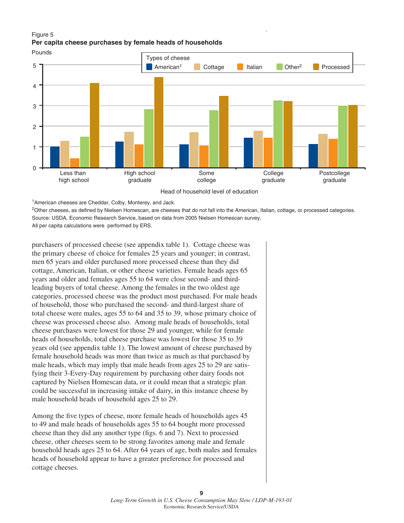#### Figure 5 **Per capita cheese purchases by female heads of households**



<sup>1</sup> American cheeses are Cheddar, Colby, Monterey, and Jack.

<sup>2</sup>Other cheeses, as defined by Nielsen Homescan, are cheeses that do not fall into the American, Italian, cottage, or processed categories. Source: USDA, Economic Research Service, based on data from 2005 Nielsen Homescan survey.

All per capita calculations were performed by ERS.

purchasers of processed cheese (see appendix table 1). Cottage cheese was the primary cheese of choice for females 25 years and younger; in contrast, men 65 years and older purchased more processed cheese than they did cottage, American, Italian, or other cheese varieties. Female heads ages 65 years and older and females ages 55 to 64 were close second- and thirdleading buyers of total cheese. Among the females in the two oldest age categories, processed cheese was the product most purchased. For male heads of household, those who purchased the second- and third-largest share of total cheese were males, ages 55 to 64 and 35 to 39, whose primary choice of cheese was processed cheese also. Among male heads of households, total cheese purchases were lowest for those 29 and younger, while for female heads of households, total cheese purchase was lowest for those 35 to 39 years old (see appendix table 1). The lowest amount of cheese purchased by female household heads was more than twice as much as that purchased by male heads, which may imply that male heads from ages 25 to 29 are satisfying their 3-Every-Day requirement by purchasing other dairy foods not captured by Nielsen Homescan data, or it could mean that a strategic plan could be successful in increasing intake of dairy, in this instance cheese by male household heads of household ages 25 to 29.

Among the five types of cheese, more female heads of households ages 45 to 49 and male heads of households ages 55 to 64 bought more processed cheese than they did any another type (figs. 6 and 7). Next to processed cheese, other cheeses seem to be strong favorites among male and female household heads ages 25 to 64. After 64 years of age, both males and females heads of household appear to have a greater preference for processed and cottage cheeses.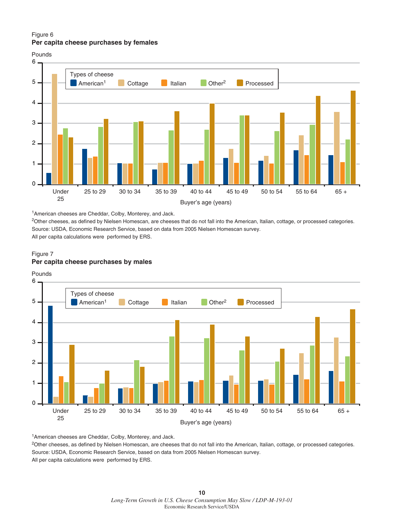#### Figure 6 **Per capita cheese purchases by females**



1American cheeses are Cheddar, Colby, Monterey, and Jack.

<sup>2</sup>Other cheeses, as defined by Nielsen Homescan, are cheeses that do not fall into the American, Italian, cottage, or processed categories. Source: USDA, Economic Research Service, based on data from 2005 Nielsen Homescan survey.

All per capita calculations were performed by ERS.

#### Figure 7 **Per capita cheese purchases by males**



1American cheeses are Cheddar, Colby, Monterey, and Jack.

<sup>2</sup>Other cheeses, as defined by Nielsen Homescan, are cheeses that do not fall into the American, Italian, cottage, or processed categories. Source: USDA, Economic Research Service, based on data from 2005 Nielsen Homescan survey.

All per capita calculations were performed by ERS.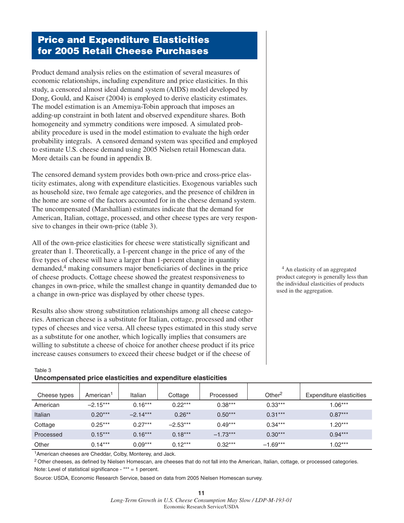### **Price and Expenditure Elasticities for 2005 Retail Cheese Purchases**

Product demand analysis relies on the estimation of several measures of economic relationships, including expenditure and price elasticities. In this study, a censored almost ideal demand system (AIDS) model developed by Dong, Gould, and Kaiser (2004) is employed to derive elasticity estimates. The model estimation is an Amemiya-Tobin approach that imposes an adding-up constraint in both latent and observed expenditure shares. Both homogeneity and symmetry conditions were imposed. A simulated probability procedure is used in the model estimation to evaluate the high order probability integrals. A censored demand system was specified and employed to estimate U.S. cheese demand using 2005 Nielsen retail Homescan data. More details can be found in appendix B.

The censored demand system provides both own-price and cross-price elasticity estimates, along with expenditure elasticities. Exogenous variables such as household size, two female age categories, and the presence of children in the home are some of the factors accounted for in the cheese demand system. The uncompensated (Marshallian) estimates indicate that the demand for American, Italian, cottage, processed, and other cheese types are very responsive to changes in their own-price (table 3).

All of the own-price elasticities for cheese were statistically significant and greater than 1. Theoretically, a 1-percent change in the price of any of the five types of cheese will have a larger than 1-percent change in quantity demanded, $4$  making consumers major beneficiaries of declines in the price of cheese products. Cottage cheese showed the greatest responsiveness to changes in own-price, while the smallest change in quantity demanded due to a change in own-price was displayed by other cheese types.

Results also show strong substitution relationships among all cheese categories. American cheese is a substitute for Italian, cottage, processed and other types of cheeses and vice versa. All cheese types estimated in this study serve as a substitute for one another, which logically implies that consumers are willing to substitute a cheese of choice for another cheese product if its price increase causes consumers to exceed their cheese budget or if the cheese of

4 An elasticity of an aggregated product category is generally less than the individual elasticities of products used in the aggregation.

| Table 3 |                                                               |  |
|---------|---------------------------------------------------------------|--|
|         | Uncompensated price elasticities and expenditure elasticities |  |

| Cheese types | American <sup>1</sup> | Italian    | Cottage    | Processed  | Other <sup>2</sup> | Expenditure elasticities |
|--------------|-----------------------|------------|------------|------------|--------------------|--------------------------|
| American     | $-2.15***$            | $0.16***$  | $0.22***$  | $0.38***$  | $0.33***$          | $1.06***$                |
| Italian      | $0.20***$             | $-2.14***$ | $0.26***$  | $0.50***$  | $0.31***$          | $0.87***$                |
| Cottage      | $0.25***$             | $0.27***$  | $-2.53***$ | $0.49***$  | $0.34***$          | $1.20***$                |
| Processed    | $0.15***$             | $0.16***$  | $0.18***$  | $-1.73***$ | $0.30***$          | $0.94***$                |
| Other        | $0.14***$             | $0.09***$  | $0.12***$  | $0.32***$  | $-1.69***$         | $1.02***$                |

1American cheeses are Cheddar, Colby, Monterey, and Jack.

<sup>2</sup> Other cheeses, as defined by Nielsen Homescan, are cheeses that do not fall into the American, Italian, cottage, or processed categories. Note: Level of statistical significance - \*\*\*  $= 1$  percent.

Source: USDA, Economic Research Service, based on data from 2005 Nielsen Homescan survey.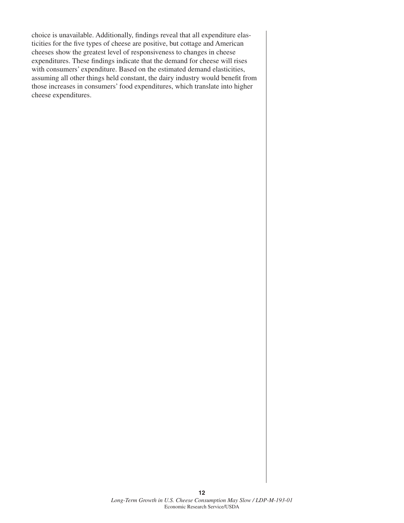choice is unavailable. Additionally, findings reveal that all expenditure elasticities for the five types of cheese are positive, but cottage and American cheeses show the greatest level of responsiveness to changes in cheese expenditures. These findings indicate that the demand for cheese will rises with consumers' expenditure. Based on the estimated demand elasticities, assuming all other things held constant, the dairy industry would benefit from those increases in consumers' food expenditures, which translate into higher cheese expenditures.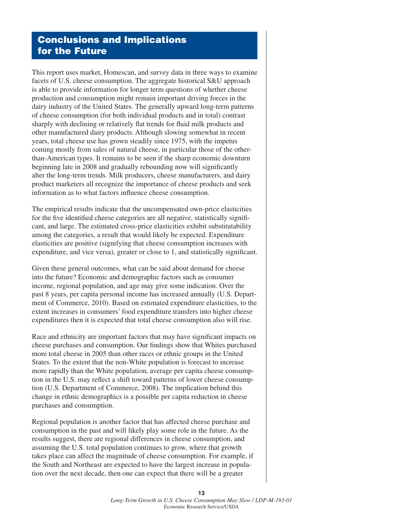### **Conclusions and Implications for the Future**

This report uses market, Homescan, and survey data in three ways to examine facets of U.S. cheese consumption. The aggregate historical S&U approach is able to provide information for longer term questions of whether cheese production and consumption might remain important driving forces in the dairy industry of the United States. The generally upward long-term patterns of cheese consumption (for both individual products and in total) contrast sharply with declining or relatively flat trends for fluid milk products and other manufactured dairy products. Although slowing somewhat in recent years, total cheese use has grown steadily since 1975, with the impetus coming mostly from sales of natural cheese, in particular those of the otherthan-American types. It remains to be seen if the sharp economic downturn beginning late in 2008 and gradually rebounding now will significantly alter the long-term trends. Milk producers, cheese manufacturers, and dairy product marketers all recognize the importance of cheese products and seek information as to what factors influence cheese consumption.

The empirical results indicate that the uncompensated own-price elasticities for the five identified cheese categories are all negative, statistically significant, and large. The estimated cross-price elasticities exhibit substitutability among the categories, a result that would likely be expected. Expenditure elasticities are positive (signifying that cheese consumption increases with expenditure, and vice versa), greater or close to 1, and statistically significant.

Given these general outcomes, what can be said about demand for cheese into the future? Economic and demographic factors such as consumer income, regional population, and age may give some indication. Over the past 8 years, per capita personal income has increased annually (U.S. Department of Commerce, 2010). Based on estimated expenditure elasticities, to the extent increases in consumers' food expenditure transfers into higher cheese expenditures then it is expected that total cheese consumption also will rise.

Race and ethnicity are important factors that may have significant impacts on cheese purchases and consumption. Our findings show that Whites purchased more total cheese in 2005 than other races or ethnic groups in the United States. To the extent that the non-White population is forecast to increase more rapidly than the White population, average per capita cheese consumption in the U.S. may reflect a shift toward patterns of lower cheese consumption (U.S. Department of Commerce, 2008). The implication behind this change in ethnic demographics is a possible per capita reduction in cheese purchases and consumption.

Regional population is another factor that has affected cheese purchase and consumption in the past and will likely play some role in the future. As the results suggest, there are regional differences in cheese consumption, and assuming the U.S. total population continues to grow, where that growth takes place can affect the magnitude of cheese consumption. For example, if the South and Northeast are expected to have the largest increase in population over the next decade, then one can expect that there will be a greater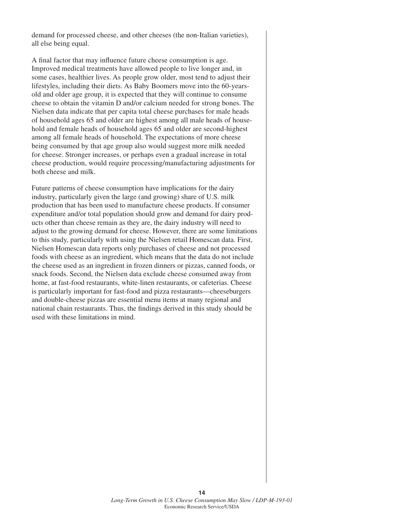demand for processed cheese, and other cheeses (the non-Italian varieties), all else being equal.

A final factor that may influence future cheese consumption is age. Improved medical treatments have allowed people to live longer and, in some cases, healthier lives. As people grow older, most tend to adjust their lifestyles, including their diets. As Baby Boomers move into the 60-yearsold and older age group, it is expected that they will continue to consume cheese to obtain the vitamin D and/or calcium needed for strong bones. The Nielsen data indicate that per capita total cheese purchases for male heads of household ages 65 and older are highest among all male heads of household and female heads of household ages 65 and older are second-highest among all female heads of household. The expectations of more cheese being consumed by that age group also would suggest more milk needed for cheese. Stronger increases, or perhaps even a gradual increase in total cheese production, would require processing/manufacturing adjustments for both cheese and milk.

Future patterns of cheese consumption have implications for the dairy industry, particularly given the large (and growing) share of U.S. milk production that has been used to manufacture cheese products. If consumer expenditure and/or total population should grow and demand for dairy products other than cheese remain as they are, the dairy industry will need to adjust to the growing demand for cheese. However, there are some limitations to this study, particularly with using the Nielsen retail Homescan data. First, Nielsen Homescan data reports only purchases of cheese and not processed foods with cheese as an ingredient, which means that the data do not include the cheese used as an ingredient in frozen dinners or pizzas, canned foods, or snack foods. Second, the Nielsen data exclude cheese consumed away from home, at fast-food restaurants, white-linen restaurants, or cafeterias. Cheese is particularly important for fast-food and pizza restaurants—cheeseburgers and double-cheese pizzas are essential menu items at many regional and national chain restaurants. Thus, the findings derived in this study should be used with these limitations in mind.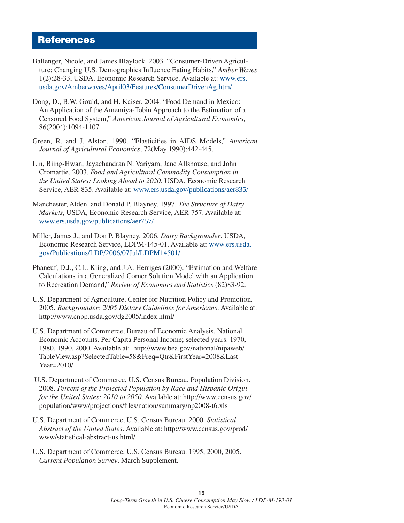### **References**

- Ballenger, Nicole, and James Blaylock. 2003. "Consumer-Driven Agriculture: Changing U.S. Demographics Influence Eating Habits," *Amber Waves* 1(2):28-33, USDA, Economic Research Service. Available at: www.ers. usda.gov/Amberwaves/April03/Features/ConsumerDrivenAg.htm/
- Dong, D., B.W. Gould, and H. Kaiser. 2004. "Food Demand in Mexico: An Application of the Amemiya-Tobin Approach to the Estimation of a Censored Food System," *American Journal of Agricultural Economics*, 86(2004):1094-1107.
- Green, R. and J. Alston. 1990. "Elasticities in AIDS Models," *American Journal of Agricultural Economics*, 72(May 1990):442-445.
- Lin, Biing-Hwan, Jayachandran N. Variyam, Jane Allshouse, and John Cromartie. 2003. *Food and Agricultural Commodity Consumption in the United States: Looking Ahead to 2020*. USDA, Economic Research Service, AER-835. Available at: www.ers.usda.gov/publications/aer835/
- Manchester, Alden, and Donald P. Blayney. 1997. *The Structure of Dairy Markets*, USDA, Economic Research Service, AER-757. Available at: www.ers.usda.gov/publications/aer757/
- Miller, James J., and Don P. Blayney. 2006. *Dairy Backgrounder*. USDA, Economic Research Service, LDPM-145-01. Available at: www.ers.usda. gov/Publications/LDP/2006/07Jul/LDPM14501/
- Phaneuf, D.J., C.L. Kling, and J.A. Herriges (2000). "Estimation and Welfare Calculations in a Generalized Corner Solution Model with an Application to Recreation Demand," *Review of Economics and Statistics* (82)83-92.
- U.S. Department of Agriculture, Center for Nutrition Policy and Promotion. 2005. *Backgrounder: 2005 Dietary Guidelines for Americans*. Available at: http://www.cnpp.usda.gov/dg2005/index.html/
- U.S. Department of Commerce, Bureau of Economic Analysis, National Economic Accounts. Per Capita Personal Income; selected years. 1970, 1980, 1990, 2000. Available at: http://www.bea.gov/national/nipaweb/ TableView.asp?SelectedTable=58&Freq=Qtr&FirstYear=2008&Last Year=2010/
- U.S. Department of Commerce, U.S. Census Bureau, Population Division. 2008. *Percent of the Projected Population by Race and Hispanic Origin for the United States: 2010 to 2050*. Available at: http://www.census.gov/ population/www/projections/fi les/nation/summary/np2008-t6.xls
- U.S. Department of Commerce, U.S. Census Bureau. 2000. *Statistical Abstract of the United States*. Available at: http://www.census.gov/prod/ www/statistical-abstract-us.html/
- U.S. Department of Commerce, U.S. Census Bureau. 1995, 2000, 2005. *Current Population Survey*. March Supplement.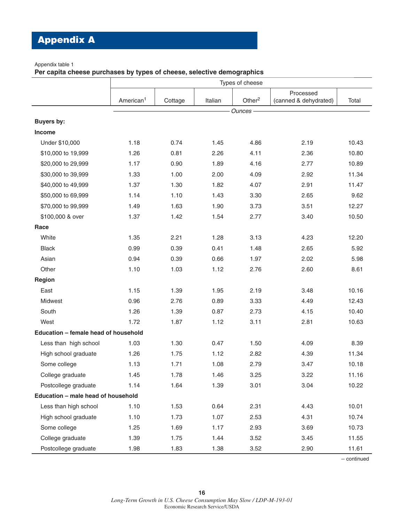## **Appendix A**

#### Appendix table 1

**Per capita cheese purchases by types of cheese, selective demographics**

|                                      | Types of cheese       |         |         |           |                                    |       |
|--------------------------------------|-----------------------|---------|---------|-----------|------------------------------------|-------|
|                                      | American <sup>1</sup> | Cottage | Italian | Other $2$ | Processed<br>(canned & dehydrated) | Total |
|                                      |                       |         |         | Ounces -  |                                    |       |
| <b>Buyers by:</b>                    |                       |         |         |           |                                    |       |
| <b>Income</b>                        |                       |         |         |           |                                    |       |
| Under \$10,000                       | 1.18                  | 0.74    | 1.45    | 4.86      | 2.19                               | 10.43 |
| \$10,000 to 19,999                   | 1.26                  | 0.81    | 2.26    | 4.11      | 2.36                               | 10.80 |
| \$20,000 to 29,999                   | 1.17                  | 0.90    | 1.89    | 4.16      | 2.77                               | 10.89 |
| \$30,000 to 39,999                   | 1.33                  | 1.00    | 2.00    | 4.09      | 2.92                               | 11.34 |
| \$40,000 to 49,999                   | 1.37                  | 1.30    | 1.82    | 4.07      | 2.91                               | 11.47 |
| \$50,000 to 69,999                   | 1.14                  | 1.10    | 1.43    | 3.30      | 2.65                               | 9.62  |
| \$70,000 to 99,999                   | 1.49                  | 1.63    | 1.90    | 3.73      | 3.51                               | 12.27 |
| \$100,000 & over                     | 1.37                  | 1.42    | 1.54    | 2.77      | 3.40                               | 10.50 |
| Race                                 |                       |         |         |           |                                    |       |
| White                                | 1.35                  | 2.21    | 1.28    | 3.13      | 4.23                               | 12.20 |
| <b>Black</b>                         | 0.99                  | 0.39    | 0.41    | 1.48      | 2.65                               | 5.92  |
| Asian                                | 0.94                  | 0.39    | 0.66    | 1.97      | 2.02                               | 5.98  |
| Other                                | 1.10                  | 1.03    | 1.12    | 2.76      | 2.60                               | 8.61  |
| Region                               |                       |         |         |           |                                    |       |
| East                                 | 1.15                  | 1.39    | 1.95    | 2.19      | 3.48                               | 10.16 |
| Midwest                              | 0.96                  | 2.76    | 0.89    | 3.33      | 4.49                               | 12.43 |
| South                                | 1.26                  | 1.39    | 0.87    | 2.73      | 4.15                               | 10.40 |
| West                                 | 1.72                  | 1.87    | 1.12    | 3.11      | 2.81                               | 10.63 |
| Education - female head of household |                       |         |         |           |                                    |       |
| Less than high school                | 1.03                  | 1.30    | 0.47    | 1.50      | 4.09                               | 8.39  |
| High school graduate                 | 1.26                  | 1.75    | 1.12    | 2.82      | 4.39                               | 11.34 |
| Some college                         | 1.13                  | 1.71    | 1.08    | 2.79      | 3.47                               | 10.18 |
| College graduate                     | 1.45                  | 1.78    | 1.46    | 3.25      | 3.22                               | 11.16 |
| Postcollege graduate                 | 1.14                  | 1.64    | 1.39    | 3.01      | 3.04                               | 10.22 |
| Education - male head of household   |                       |         |         |           |                                    |       |
| Less than high school                | 1.10                  | 1.53    | 0.64    | 2.31      | 4.43                               | 10.01 |
| High school graduate                 | 1.10                  | 1.73    | 1.07    | 2.53      | 4.31                               | 10.74 |
| Some college                         | 1.25                  | 1.69    | 1.17    | 2.93      | 3.69                               | 10.73 |
| College graduate                     | 1.39                  | 1.75    | 1.44    | 3.52      | 3.45                               | 11.55 |
| Postcollege graduate                 | 1.98                  | 1.83    | 1.38    | 3.52      | 2.90                               | 11.61 |

-- continued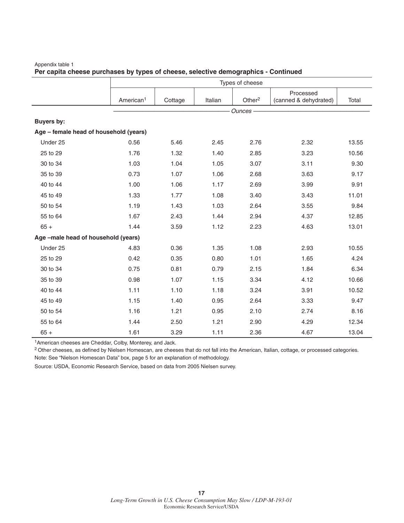|                                        | Types of cheese       |         |         |           |                                    |       |
|----------------------------------------|-----------------------|---------|---------|-----------|------------------------------------|-------|
|                                        | American <sup>1</sup> | Cottage | Italian | Other $2$ | Processed<br>(canned & dehydrated) | Total |
|                                        |                       |         |         | Ounces-   |                                    |       |
| <b>Buyers by:</b>                      |                       |         |         |           |                                    |       |
| Age - female head of household (years) |                       |         |         |           |                                    |       |
| Under 25                               | 0.56                  | 5.46    | 2.45    | 2.76      | 2.32                               | 13.55 |
| 25 to 29                               | 1.76                  | 1.32    | 1.40    | 2.85      | 3.23                               | 10.56 |
| 30 to 34                               | 1.03                  | 1.04    | 1.05    | 3.07      | 3.11                               | 9.30  |
| 35 to 39                               | 0.73                  | 1.07    | 1.06    | 2.68      | 3.63                               | 9.17  |
| 40 to 44                               | 1.00                  | 1.06    | 1.17    | 2.69      | 3.99                               | 9.91  |
| 45 to 49                               | 1.33                  | 1.77    | 1.08    | 3.40      | 3.43                               | 11.01 |
| 50 to 54                               | 1.19                  | 1.43    | 1.03    | 2.64      | 3.55                               | 9.84  |
| 55 to 64                               | 1.67                  | 2.43    | 1.44    | 2.94      | 4.37                               | 12.85 |
| $65 +$                                 | 1.44                  | 3.59    | 1.12    | 2.23      | 4.63                               | 13.01 |
| Age -male head of household (years)    |                       |         |         |           |                                    |       |
| Under 25                               | 4.83                  | 0.36    | 1.35    | 1.08      | 2.93                               | 10.55 |
| 25 to 29                               | 0.42                  | 0.35    | 0.80    | 1.01      | 1.65                               | 4.24  |
| 30 to 34                               | 0.75                  | 0.81    | 0.79    | 2.15      | 1.84                               | 6.34  |
| 35 to 39                               | 0.98                  | 1.07    | 1.15    | 3.34      | 4.12                               | 10.66 |
| 40 to 44                               | 1.11                  | 1.10    | 1.18    | 3.24      | 3.91                               | 10.52 |
| 45 to 49                               | 1.15                  | 1.40    | 0.95    | 2.64      | 3.33                               | 9.47  |
| 50 to 54                               | 1.16                  | 1.21    | 0.95    | 2.10      | 2.74                               | 8.16  |
| 55 to 64                               | 1.44                  | 2.50    | 1.21    | 2.90      | 4.29                               | 12.34 |
| $65 +$                                 | 1.61                  | 3.29    | 1.11    | 2.36      | 4.67                               | 13.04 |

#### Appendix table 1 **Per capita cheese purchases by types of cheese, selective demographics - Continued**

1American cheeses are Cheddar, Colby, Monterey, and Jack.

<sup>2</sup> Other cheeses, as defined by Nielsen Homescan, are cheeses that do not fall into the American, Italian, cottage, or processed categories. Note: See "Nielson Homescan Data" box, page 5 for an explanation of methodology.

Source: USDA, Economic Research Service, based on data from 2005 Nielsen survey.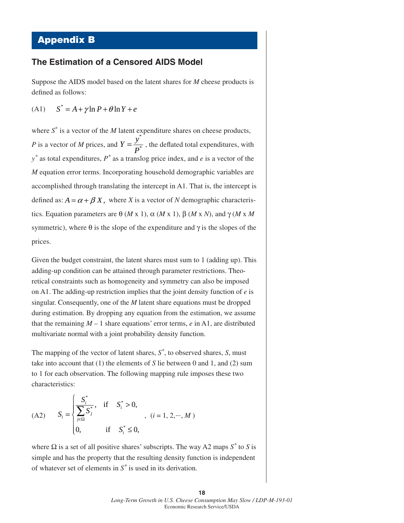### **Appendix B**

#### **The Estimation of a Censored AIDS Model**

Suppose the AIDS model based on the latent shares for *M* cheese products is defined as follows:

(A1)  $S^* = A + \gamma \ln P + \theta \ln Y + e$ 

where  $S^*$  is a vector of the *M* latent expenditure shares on cheese products, *P* is a vector of *M* prices, and \*  $Y = \frac{y^*}{P^*}$ , the deflated total expenditures, with *y\** as total expenditures, *P\** as a translog price index, and *e* is a vector of the *M* equation error terms. Incorporating household demographic variables are accomplished through translating the intercept in A1. That is, the intercept is defined as:  $A = \alpha + \beta X$ , where *X* is a vector of *N* demographic characteristics. Equation parameters are  $\theta$  (*M* x 1),  $\alpha$  (*M* x 1),  $\beta$  (*M* x *N*), and γ (*M* x *M*) symmetric), where  $\theta$  is the slope of the expenditure and  $\gamma$  is the slopes of the prices.

Given the budget constraint, the latent shares must sum to 1 (adding up). This adding-up condition can be attained through parameter restrictions. Theoretical constraints such as homogeneity and symmetry can also be imposed on A1. The adding-up restriction implies that the joint density function of *e* is singular. Consequently, one of the *M* latent share equations must be dropped during estimation. By dropping any equation from the estimation, we assume that the remaining  $M - 1$  share equations' error terms,  $e$  in A1, are distributed multivariate normal with a joint probability density function.

The mapping of the vector of latent shares, *S\**, to observed shares, *S*, must take into account that (1) the elements of *S* lie between 0 and 1, and (2) sum to 1 for each observation. The following mapping rule imposes these two characteristics:

(A2) 
$$
S_{i} = \begin{cases} \frac{S_{i}^{*}}{\sum_{j\in\Omega} S_{j}^{*}}, & \text{if } S_{i}^{*} > 0, \\ 0, & \text{if } S_{i}^{*} \leq 0, \end{cases}, (i = 1, 2, \cdots, M)
$$

where  $\Omega$  is a set of all positive shares' subscripts. The way A2 maps  $S^*$  to *S* is simple and has the property that the resulting density function is independent of whatever set of elements in *S\** is used in its derivation.